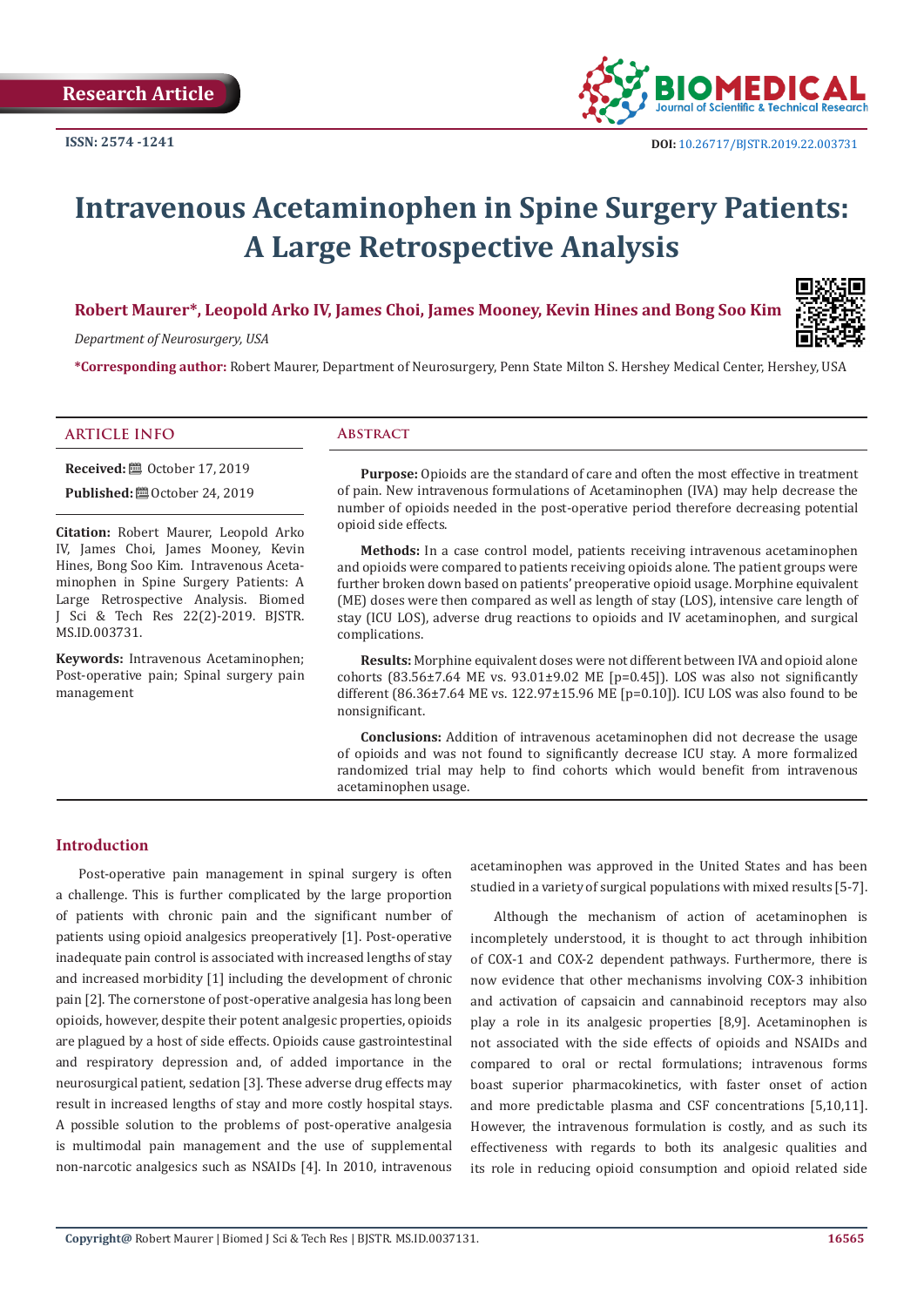

# **Intravenous Acetaminophen in Spine Surgery Patients: A Large Retrospective Analysis**

# **Robert Maurer\*, Leopold Arko IV, James Choi, James Mooney, Kevin Hines and Bong Soo Kim**

*Department of Neurosurgery, USA*

**\*Corresponding author:** Robert Maurer, Department of Neurosurgery, Penn State Milton S. Hershey Medical Center, Hershey, USA

### **ARTICLE INFO Abstract**

**Received:** ■ October 17, 2019

**Published:**  $\blacksquare$  October 24, 2019

**Citation:** Robert Maurer, Leopold Arko IV, James Choi, James Mooney, Kevin Hines, Bong Soo Kim. Intravenous Acetaminophen in Spine Surgery Patients: A Large Retrospective Analysis. Biomed J Sci & Tech Res 22(2)-2019. BJSTR. MS.ID.003731.

**Keywords:** Intravenous Acetaminophen; Post-operative pain; Spinal surgery pain management

**Purpose:** Opioids are the standard of care and often the most effective in treatment of pain. New intravenous formulations of Acetaminophen (IVA) may help decrease the number of opioids needed in the post-operative period therefore decreasing potential opioid side effects.

**Methods:** In a case control model, patients receiving intravenous acetaminophen and opioids were compared to patients receiving opioids alone. The patient groups were further broken down based on patients' preoperative opioid usage. Morphine equivalent (ME) doses were then compared as well as length of stay (LOS), intensive care length of stay (ICU LOS), adverse drug reactions to opioids and IV acetaminophen, and surgical complications.

**Results:** Morphine equivalent doses were not different between IVA and opioid alone cohorts (83.56±7.64 ME vs. 93.01±9.02 ME [p=0.45]). LOS was also not significantly different (86.36±7.64 ME vs. 122.97±15.96 ME [p=0.10]). ICU LOS was also found to be nonsignificant.

**Conclusions:** Addition of intravenous acetaminophen did not decrease the usage of opioids and was not found to significantly decrease ICU stay. A more formalized randomized trial may help to find cohorts which would benefit from intravenous acetaminophen usage.

# **Introduction**

Post-operative pain management in spinal surgery is often a challenge. This is further complicated by the large proportion of patients with chronic pain and the significant number of patients using opioid analgesics preoperatively [1]. Post-operative inadequate pain control is associated with increased lengths of stay and increased morbidity [1] including the development of chronic pain [2]. The cornerstone of post-operative analgesia has long been opioids, however, despite their potent analgesic properties, opioids are plagued by a host of side effects. Opioids cause gastrointestinal and respiratory depression and, of added importance in the neurosurgical patient, sedation [3]. These adverse drug effects may result in increased lengths of stay and more costly hospital stays. A possible solution to the problems of post-operative analgesia is multimodal pain management and the use of supplemental non-narcotic analgesics such as NSAIDs [4]. In 2010, intravenous

acetaminophen was approved in the United States and has been studied in a variety of surgical populations with mixed results [5-7].

Although the mechanism of action of acetaminophen is incompletely understood, it is thought to act through inhibition of COX-1 and COX-2 dependent pathways. Furthermore, there is now evidence that other mechanisms involving COX-3 inhibition and activation of capsaicin and cannabinoid receptors may also play a role in its analgesic properties [8,9]. Acetaminophen is not associated with the side effects of opioids and NSAIDs and compared to oral or rectal formulations; intravenous forms boast superior pharmacokinetics, with faster onset of action and more predictable plasma and CSF concentrations [5,10,11]. However, the intravenous formulation is costly, and as such its effectiveness with regards to both its analgesic qualities and its role in reducing opioid consumption and opioid related side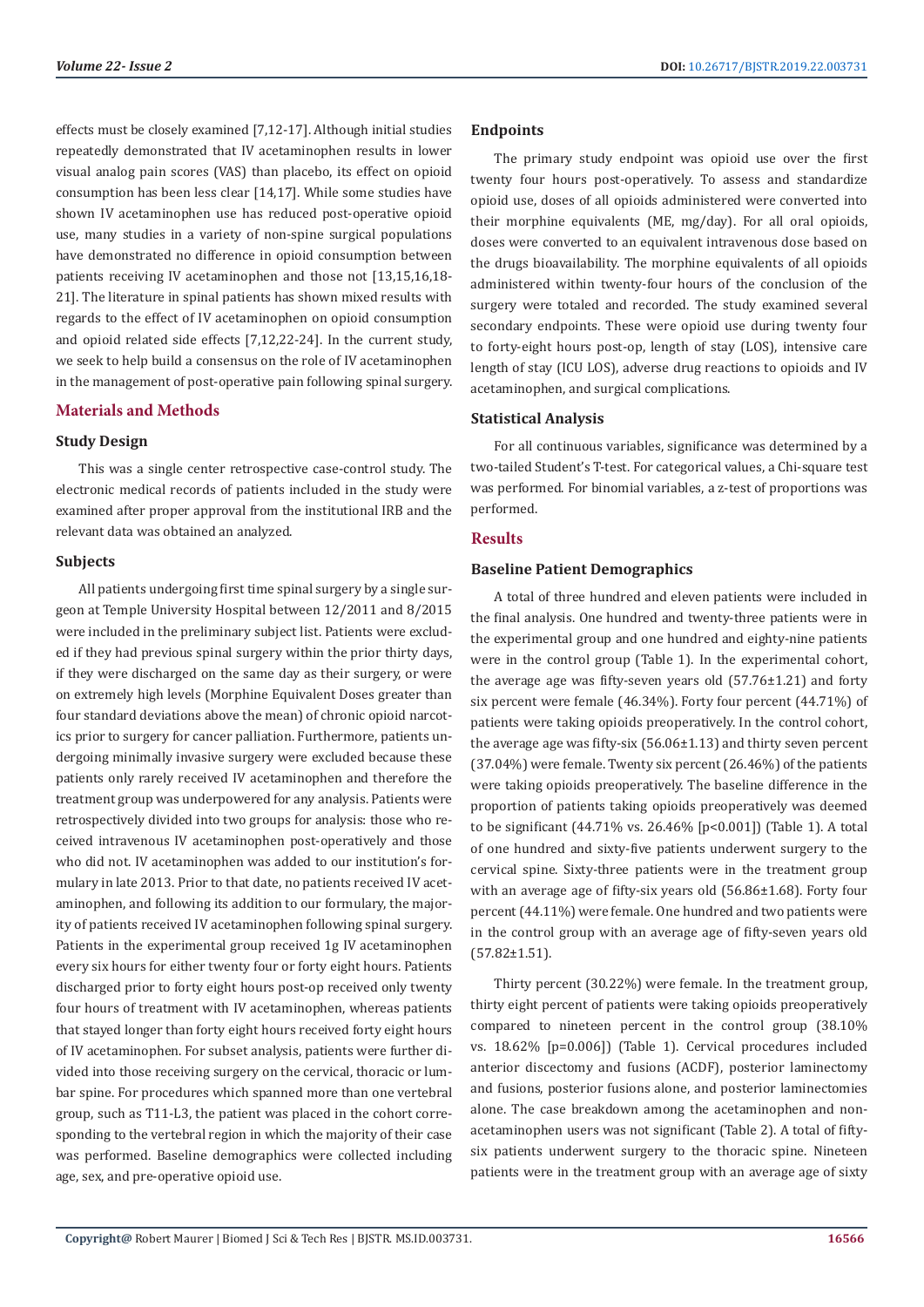effects must be closely examined [7,12-17]. Although initial studies repeatedly demonstrated that IV acetaminophen results in lower visual analog pain scores (VAS) than placebo, its effect on opioid consumption has been less clear [14,17]. While some studies have shown IV acetaminophen use has reduced post-operative opioid use, many studies in a variety of non-spine surgical populations have demonstrated no difference in opioid consumption between patients receiving IV acetaminophen and those not [13,15,16,18- 21]. The literature in spinal patients has shown mixed results with regards to the effect of IV acetaminophen on opioid consumption and opioid related side effects [7,12,22-24]. In the current study, we seek to help build a consensus on the role of IV acetaminophen in the management of post-operative pain following spinal surgery.

# **Materials and Methods**

#### **Study Design**

This was a single center retrospective case-control study. The electronic medical records of patients included in the study were examined after proper approval from the institutional IRB and the relevant data was obtained an analyzed.

#### **Subjects**

All patients undergoing first time spinal surgery by a single surgeon at Temple University Hospital between 12/2011 and 8/2015 were included in the preliminary subject list. Patients were excluded if they had previous spinal surgery within the prior thirty days, if they were discharged on the same day as their surgery, or were on extremely high levels (Morphine Equivalent Doses greater than four standard deviations above the mean) of chronic opioid narcotics prior to surgery for cancer palliation. Furthermore, patients undergoing minimally invasive surgery were excluded because these patients only rarely received IV acetaminophen and therefore the treatment group was underpowered for any analysis. Patients were retrospectively divided into two groups for analysis: those who received intravenous IV acetaminophen post-operatively and those who did not. IV acetaminophen was added to our institution's formulary in late 2013. Prior to that date, no patients received IV acetaminophen, and following its addition to our formulary, the majority of patients received IV acetaminophen following spinal surgery. Patients in the experimental group received 1g IV acetaminophen every six hours for either twenty four or forty eight hours. Patients discharged prior to forty eight hours post-op received only twenty four hours of treatment with IV acetaminophen, whereas patients that stayed longer than forty eight hours received forty eight hours of IV acetaminophen. For subset analysis, patients were further divided into those receiving surgery on the cervical, thoracic or lumbar spine. For procedures which spanned more than one vertebral group, such as T11-L3, the patient was placed in the cohort corresponding to the vertebral region in which the majority of their case was performed. Baseline demographics were collected including age, sex, and pre-operative opioid use.

# **Endpoints**

The primary study endpoint was opioid use over the first twenty four hours post-operatively. To assess and standardize opioid use, doses of all opioids administered were converted into their morphine equivalents (ME, mg/day). For all oral opioids, doses were converted to an equivalent intravenous dose based on the drugs bioavailability. The morphine equivalents of all opioids administered within twenty-four hours of the conclusion of the surgery were totaled and recorded. The study examined several secondary endpoints. These were opioid use during twenty four to forty-eight hours post-op, length of stay (LOS), intensive care length of stay (ICU LOS), adverse drug reactions to opioids and IV acetaminophen, and surgical complications.

# **Statistical Analysis**

For all continuous variables, significance was determined by a two-tailed Student's T-test. For categorical values, a Chi-square test was performed. For binomial variables, a z-test of proportions was performed.

# **Results**

### **Baseline Patient Demographics**

A total of three hundred and eleven patients were included in the final analysis. One hundred and twenty-three patients were in the experimental group and one hundred and eighty-nine patients were in the control group (Table 1). In the experimental cohort, the average age was fifty-seven years old (57.76±1.21) and forty six percent were female (46.34%). Forty four percent (44.71%) of patients were taking opioids preoperatively. In the control cohort, the average age was fifty-six (56.06±1.13) and thirty seven percent (37.04%) were female. Twenty six percent (26.46%) of the patients were taking opioids preoperatively. The baseline difference in the proportion of patients taking opioids preoperatively was deemed to be significant (44.71% vs. 26.46% [p<0.001]) (Table 1). A total of one hundred and sixty-five patients underwent surgery to the cervical spine. Sixty-three patients were in the treatment group with an average age of fifty-six years old (56.86±1.68). Forty four percent (44.11%) were female. One hundred and two patients were in the control group with an average age of fifty-seven years old (57.82±1.51).

Thirty percent (30.22%) were female. In the treatment group, thirty eight percent of patients were taking opioids preoperatively compared to nineteen percent in the control group (38.10% vs. 18.62% [p=0.006]) (Table 1). Cervical procedures included anterior discectomy and fusions (ACDF), posterior laminectomy and fusions, posterior fusions alone, and posterior laminectomies alone. The case breakdown among the acetaminophen and nonacetaminophen users was not significant (Table 2). A total of fiftysix patients underwent surgery to the thoracic spine. Nineteen patients were in the treatment group with an average age of sixty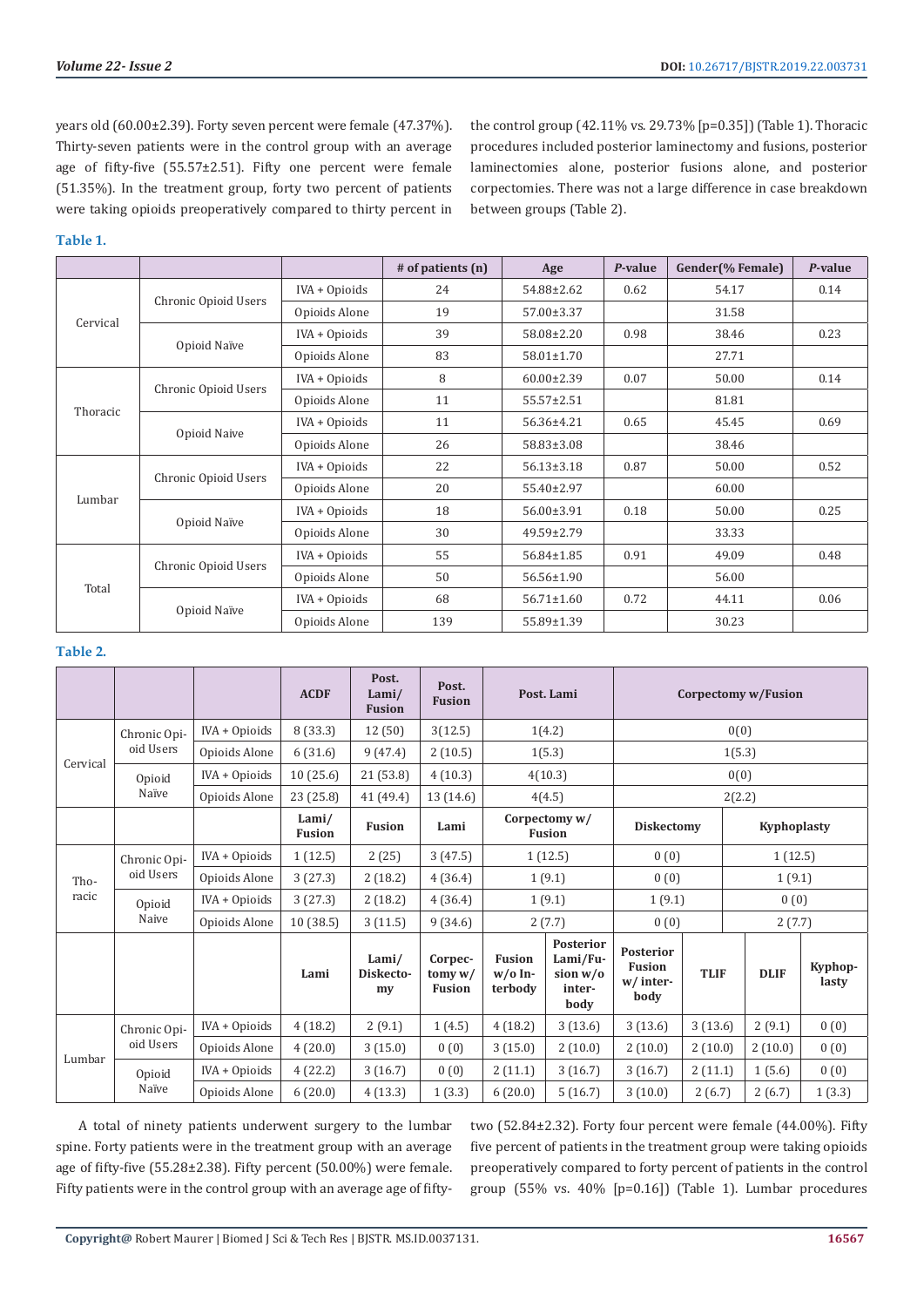the control group (42.11% vs. 29.73% [p=0.35]) (Table 1). Thoracic procedures included posterior laminectomy and fusions, posterior laminectomies alone, posterior fusions alone, and posterior corpectomies. There was not a large difference in case breakdown

years old (60.00±2.39). Forty seven percent were female (47.37%). Thirty-seven patients were in the control group with an average age of fifty-five (55.57±2.51). Fifty one percent were female (51.35%). In the treatment group, forty two percent of patients were taking opioids preoperatively compared to thirty percent in

# **Table 1.**

| apie 1.  |                      |               |                   |                                                                          |         |                  |         |
|----------|----------------------|---------------|-------------------|--------------------------------------------------------------------------|---------|------------------|---------|
|          |                      |               | # of patients (n) | Age                                                                      | P-value | Gender(% Female) | P-value |
|          |                      | IVA + Opioids | 24                | 54.88±2.62                                                               | 0.62    | 54.17            | 0.14    |
|          | Chronic Opioid Users | Opioids Alone | 19                | 57.00±3.37                                                               |         | 31.58            |         |
| Cervical |                      | IVA + Opioids | 39                | 58.08±2.20                                                               | 0.98    | 38.46            | 0.23    |
|          | Opioid Naïve         | Opioids Alone | 83                | 58.01±1.70                                                               |         | 27.71            |         |
|          |                      | IVA + Opioids | 8                 | $60.00 \pm 2.39$                                                         | 0.07    | 50.00            | 0.14    |
| Thoracic | Chronic Opioid Users | Opioids Alone | 11                | 55.57±2.51                                                               |         | 81.81            |         |
|          |                      | IVA + Opioids | 11                | 56.36±4.21                                                               | 0.65    | 45.45            | 0.69    |
|          | Opioid Naive         | Opioids Alone | 26                | 58.83±3.08                                                               |         | 38.46            |         |
|          |                      | IVA + Opioids | 22                | $56.13 \pm 3.18$                                                         | 0.87    | 50.00            | 0.52    |
| Lumbar   | Chronic Opioid Users | Opioids Alone | 20                | 55.40±2.97                                                               |         | 60.00            |         |
|          | Opioid Naïve         | IVA + Opioids | 18                | 56.00±3.91                                                               | 0.18    | 50.00            | 0.25    |
|          |                      | Opioids Alone | 30                | 49.59±2.79<br>56.84±1.85<br>56.56±1.90<br>$56.71 \pm 1.60$<br>55.89±1.39 |         | 33.33            |         |
|          | Chronic Opioid Users | IVA + Opioids | 55                |                                                                          | 0.91    | 49.09            | 0.48    |
| Total    |                      | Opioids Alone | 50                |                                                                          |         | 56.00            |         |
|          | Opioid Naïve         | IVA + Opioids | 68                |                                                                          | 0.72    | 44.11            | 0.06    |
|          |                      | Opioids Alone | 139               |                                                                          |         | 30.23            |         |

between groups (Table 2).

# **Table 2.**

|               |                           |               | <b>ACDF</b>                            | Post.<br>Lami/<br><b>Fusion</b> | Post.<br><b>Fusion</b>                |                                       | Post. Lami                                                 |                                                |             | Corpectomy w/Fusion |                  |  |
|---------------|---------------------------|---------------|----------------------------------------|---------------------------------|---------------------------------------|---------------------------------------|------------------------------------------------------------|------------------------------------------------|-------------|---------------------|------------------|--|
| Cervical      | Chronic Opi-              | IVA + Opioids | 8(33.3)<br>12(50)<br>3(12.5)<br>1(4.2) |                                 |                                       | 0(0)                                  |                                                            |                                                |             |                     |                  |  |
|               | oid Users                 | Opioids Alone | 6(31.6)                                | 9(47.4)                         | 2(10.5)                               |                                       | 1(5.3)                                                     | 1(5.3)                                         |             |                     |                  |  |
|               | Opioid<br>Naïve           | IVA + Opioids | 10(25.6)                               | 21(53.8)                        | 4(10.3)                               |                                       | 4(10.3)<br>0(0)                                            |                                                |             |                     |                  |  |
|               |                           | Opioids Alone | 23(25.8)                               | 41 (49.4)                       | 13 (14.6)                             |                                       | 4(4.5)                                                     | 2(2.2)                                         |             |                     |                  |  |
|               |                           |               | Lami/<br><b>Fusion</b>                 | <b>Fusion</b>                   | Lami                                  | Corpectomy w/<br><b>Fusion</b>        |                                                            | <b>Diskectomy</b>                              |             |                     | Kyphoplasty      |  |
| Tho-<br>racic | Chronic Opi-<br>oid Users | IVA + Opioids | 1(12.5)                                | 2(25)                           | 3(47.5)                               |                                       | 1(12.5)                                                    | 0(0)                                           |             | 1(12.5)             |                  |  |
|               |                           | Opioids Alone | 3(27.3)                                | 2(18.2)                         | 4(36.4)                               |                                       | 1(9.1)                                                     | 0(0)                                           |             | 1(9.1)              |                  |  |
|               | Opioid<br>Naive           | IVA + Opioids | 3(27.3)                                | 2(18.2)                         | 4(36.4)                               | 1(9.1)                                |                                                            | 1(9.1)                                         |             |                     | 0(0)             |  |
|               |                           | Opioids Alone | 10(38.5)                               | 3(11.5)                         | 9(34.6)                               |                                       | 2(7.7)<br>0(0)                                             |                                                |             | 2(7.7)              |                  |  |
|               |                           |               | Lami                                   | Lami/<br>Diskecto-<br>my        | Corpec-<br>tomy $w/$<br><b>Fusion</b> | <b>Fusion</b><br>$w/o$ In-<br>terbody | <b>Posterior</b><br>Lami/Fu-<br>sion w/o<br>inter-<br>body | Posterior<br><b>Fusion</b><br>w/inter-<br>body | <b>TLIF</b> | <b>DLIF</b>         | Kyphop-<br>lasty |  |
| Lumbar        | Chronic Opi-<br>oid Users | IVA + Opioids | 4(18.2)                                | 2(9.1)                          | 1(4.5)                                | 4(18.2)                               | 3(13.6)                                                    | 3(13.6)                                        | 3(13.6)     | 2(9.1)              | 0(0)             |  |
|               |                           | Opioids Alone | 4(20.0)                                | 3(15.0)                         | 0(0)                                  | 3(15.0)                               | 2(10.0)                                                    | 2(10.0)                                        | 2(10.0)     | 2(10.0)             | 0(0)             |  |
|               | Opioid<br>Naïve           | IVA + Opioids | 4(22.2)                                | 3(16.7)                         | 0(0)                                  | 2(11.1)                               | 3(16.7)                                                    | 3(16.7)                                        | 2(11.1)     | 1(5.6)              | 0(0)             |  |
|               |                           | Opioids Alone | 6(20.0)                                | 4(13.3)                         | 1(3.3)                                | 6(20.0)                               | 5(16.7)                                                    | 3(10.0)                                        | 2(6.7)      | 2(6.7)              | 1(3.3)           |  |

A total of ninety patients underwent surgery to the lumbar spine. Forty patients were in the treatment group with an average age of fifty-five (55.28±2.38). Fifty percent (50.00%) were female. Fifty patients were in the control group with an average age of fiftytwo (52.84±2.32). Forty four percent were female (44.00%). Fifty five percent of patients in the treatment group were taking opioids preoperatively compared to forty percent of patients in the control group (55% vs. 40% [p=0.16]) (Table 1). Lumbar procedures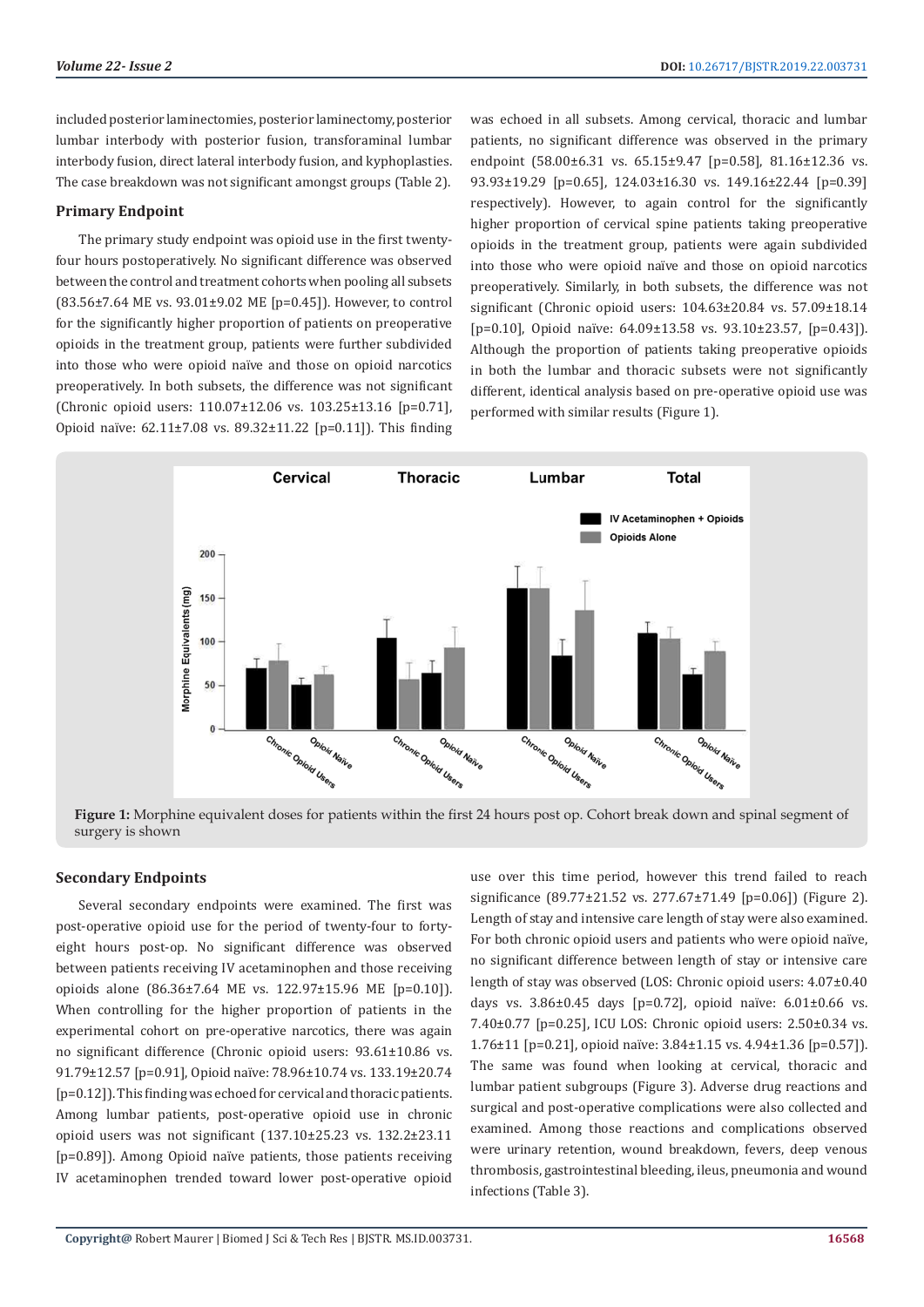included posterior laminectomies, posterior laminectomy, posterior lumbar interbody with posterior fusion, transforaminal lumbar interbody fusion, direct lateral interbody fusion, and kyphoplasties. The case breakdown was not significant amongst groups (Table 2).

# **Primary Endpoint**

The primary study endpoint was opioid use in the first twentyfour hours postoperatively. No significant difference was observed between the control and treatment cohorts when pooling all subsets (83.56±7.64 ME vs. 93.01±9.02 ME [p=0.45]). However, to control for the significantly higher proportion of patients on preoperative opioids in the treatment group, patients were further subdivided into those who were opioid naïve and those on opioid narcotics preoperatively. In both subsets, the difference was not significant (Chronic opioid users: 110.07±12.06 vs. 103.25±13.16 [p=0.71], Opioid naïve: 62.11±7.08 vs. 89.32±11.22 [p=0.11]). This finding was echoed in all subsets. Among cervical, thoracic and lumbar patients, no significant difference was observed in the primary endpoint (58.00±6.31 vs. 65.15±9.47 [p=0.58], 81.16±12.36 vs. 93.93±19.29 [p=0.65], 124.03±16.30 vs. 149.16±22.44 [p=0.39] respectively). However, to again control for the significantly higher proportion of cervical spine patients taking preoperative opioids in the treatment group, patients were again subdivided into those who were opioid naïve and those on opioid narcotics preoperatively. Similarly, in both subsets, the difference was not significant (Chronic opioid users: 104.63±20.84 vs. 57.09±18.14 [p=0.10], Opioid naïve: 64.09±13.58 vs. 93.10±23.57, [p=0.43]). Although the proportion of patients taking preoperative opioids in both the lumbar and thoracic subsets were not significantly different, identical analysis based on pre-operative opioid use was performed with similar results (Figure 1).



**Figure 1:** Morphine equivalent doses for patients within the first 24 hours post op. Cohort break down and spinal segment of surgery is shown

# **Secondary Endpoints**

Several secondary endpoints were examined. The first was post-operative opioid use for the period of twenty-four to fortyeight hours post-op. No significant difference was observed between patients receiving IV acetaminophen and those receiving opioids alone (86.36±7.64 ME vs. 122.97±15.96 ME [p=0.10]). When controlling for the higher proportion of patients in the experimental cohort on pre-operative narcotics, there was again no significant difference (Chronic opioid users: 93.61±10.86 vs. 91.79±12.57 [p=0.91], Opioid naïve: 78.96±10.74 vs. 133.19±20.74 [p=0.12]). This finding was echoed for cervical and thoracic patients. Among lumbar patients, post-operative opioid use in chronic opioid users was not significant (137.10±25.23 vs. 132.2±23.11 [p=0.89]). Among Opioid naïve patients, those patients receiving IV acetaminophen trended toward lower post-operative opioid

use over this time period, however this trend failed to reach significance (89.77±21.52 vs. 277.67±71.49 [p=0.06]) (Figure 2). Length of stay and intensive care length of stay were also examined. For both chronic opioid users and patients who were opioid naïve, no significant difference between length of stay or intensive care length of stay was observed (LOS: Chronic opioid users: 4.07±0.40 days vs. 3.86±0.45 days [p=0.72], opioid naïve: 6.01±0.66 vs. 7.40±0.77 [p=0.25], ICU LOS: Chronic opioid users: 2.50±0.34 vs. 1.76±11 [p=0.21], opioid naïve: 3.84±1.15 vs. 4.94±1.36 [p=0.57]). The same was found when looking at cervical, thoracic and lumbar patient subgroups (Figure 3). Adverse drug reactions and surgical and post-operative complications were also collected and examined. Among those reactions and complications observed were urinary retention, wound breakdown, fevers, deep venous thrombosis, gastrointestinal bleeding, ileus, pneumonia and wound infections (Table 3).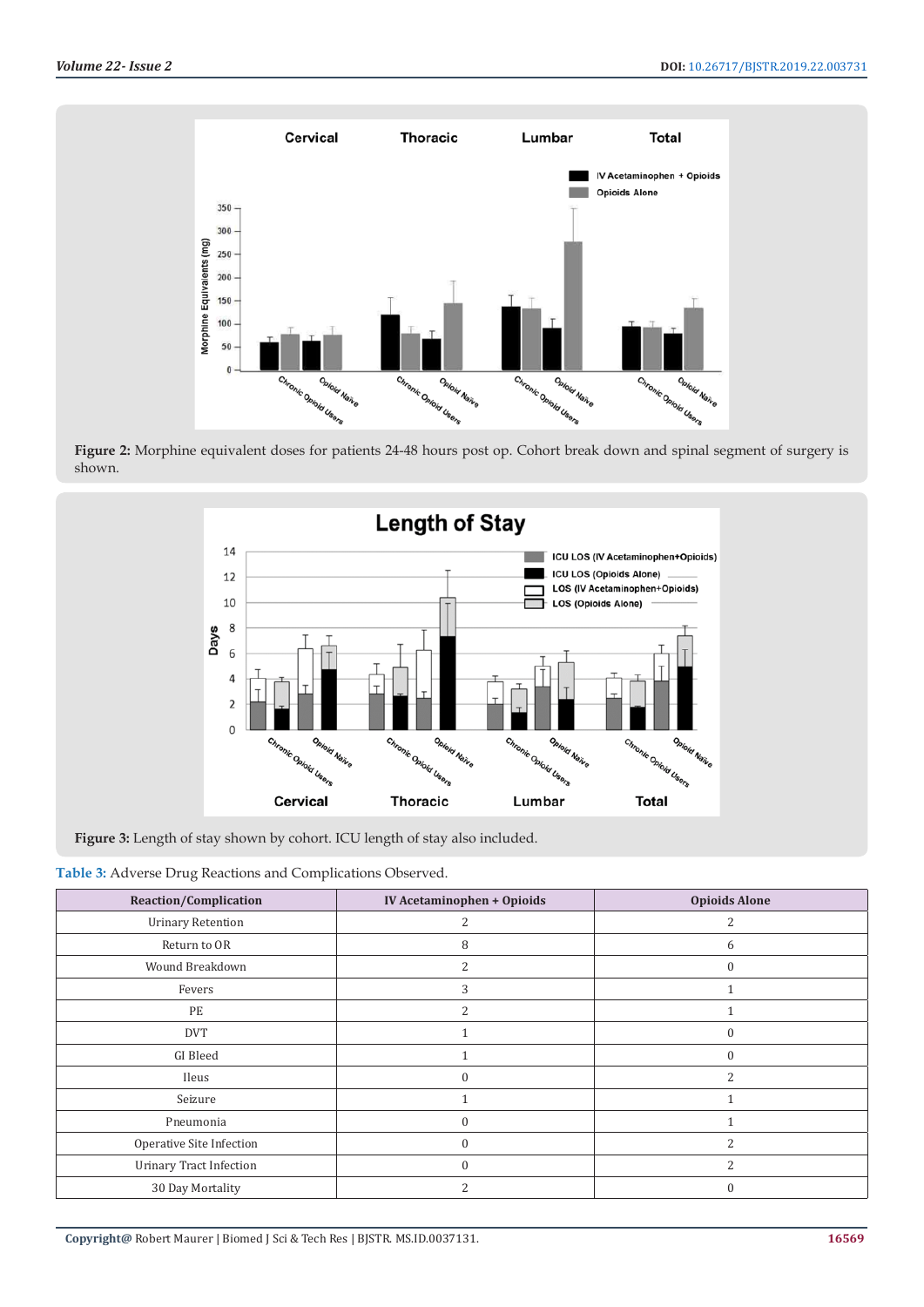

**Figure 2:** Morphine equivalent doses for patients 24-48 hours post op. Cohort break down and spinal segment of surgery is shown.



**Figure 3:** Length of stay shown by cohort. ICU length of stay also included.

**Table 3:** Adverse Drug Reactions and Complications Observed.

| <b>Reaction/Complication</b>   | IV Acetaminophen + Opioids | <b>Opioids Alone</b>     |
|--------------------------------|----------------------------|--------------------------|
| <b>Urinary Retention</b>       | 2                          |                          |
| Return to OR                   | 8                          | 6                        |
| Wound Breakdown                | $\overline{2}$             | $\theta$                 |
| Fevers                         | 3                          |                          |
| PE                             | 2                          |                          |
| <b>DVT</b>                     |                            | $\Omega$                 |
| GI Bleed                       |                            | $\Omega$                 |
| Ileus                          | $\theta$                   | 2                        |
| Seizure                        |                            |                          |
| Pneumonia                      | $\theta$                   |                          |
| Operative Site Infection       | $\theta$                   | $\overline{\mathcal{L}}$ |
| <b>Urinary Tract Infection</b> | $\theta$                   | h                        |
| 30 Day Mortality               |                            |                          |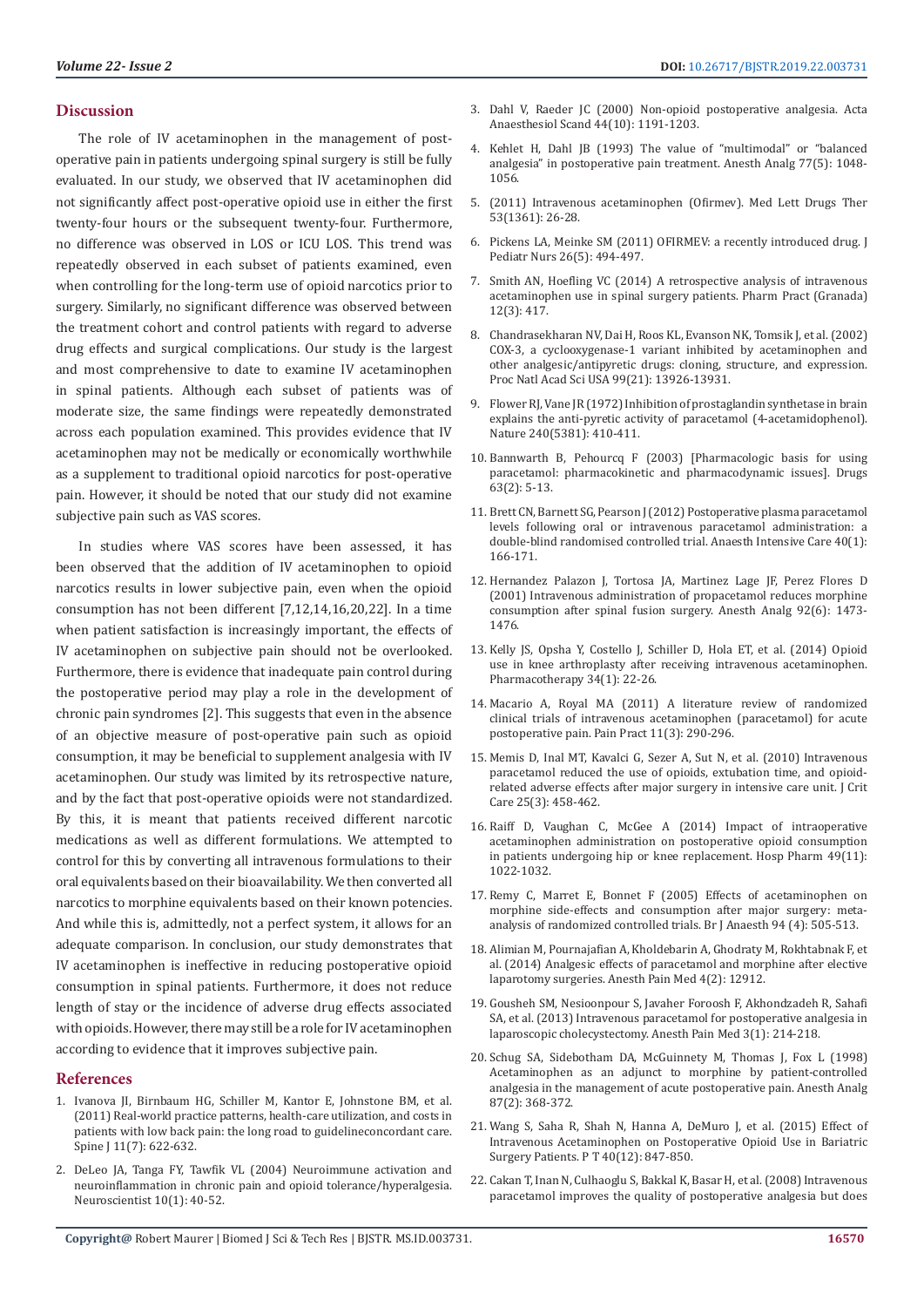#### **Discussion**

The role of IV acetaminophen in the management of postoperative pain in patients undergoing spinal surgery is still be fully evaluated. In our study, we observed that IV acetaminophen did not significantly affect post-operative opioid use in either the first twenty-four hours or the subsequent twenty-four. Furthermore, no difference was observed in LOS or ICU LOS. This trend was repeatedly observed in each subset of patients examined, even when controlling for the long-term use of opioid narcotics prior to surgery. Similarly, no significant difference was observed between the treatment cohort and control patients with regard to adverse drug effects and surgical complications. Our study is the largest and most comprehensive to date to examine IV acetaminophen in spinal patients. Although each subset of patients was of moderate size, the same findings were repeatedly demonstrated across each population examined. This provides evidence that IV acetaminophen may not be medically or economically worthwhile as a supplement to traditional opioid narcotics for post-operative pain. However, it should be noted that our study did not examine subjective pain such as VAS scores.

In studies where VAS scores have been assessed, it has been observed that the addition of IV acetaminophen to opioid narcotics results in lower subjective pain, even when the opioid consumption has not been different [7,12,14,16,20,22]. In a time when patient satisfaction is increasingly important, the effects of IV acetaminophen on subjective pain should not be overlooked. Furthermore, there is evidence that inadequate pain control during the postoperative period may play a role in the development of chronic pain syndromes [2]. This suggests that even in the absence of an objective measure of post-operative pain such as opioid consumption, it may be beneficial to supplement analgesia with IV acetaminophen. Our study was limited by its retrospective nature, and by the fact that post-operative opioids were not standardized. By this, it is meant that patients received different narcotic medications as well as different formulations. We attempted to control for this by converting all intravenous formulations to their oral equivalents based on their bioavailability. We then converted all narcotics to morphine equivalents based on their known potencies. And while this is, admittedly, not a perfect system, it allows for an adequate comparison. In conclusion, our study demonstrates that IV acetaminophen is ineffective in reducing postoperative opioid consumption in spinal patients. Furthermore, it does not reduce length of stay or the incidence of adverse drug effects associated with opioids. However, there may still be a role for IV acetaminophen according to evidence that it improves subjective pain.

#### **References**

- 1. [Ivanova JI, Birnbaum HG, Schiller M, Kantor E, Johnstone BM, et al.](https://www.thespinejournalonline.com/article/S1529-9430(11)00220-8/abstract)  [\(2011\) Real-world practice patterns, health-care utilization, and costs in](https://www.thespinejournalonline.com/article/S1529-9430(11)00220-8/abstract)  [patients with low back pain: the long road to guidelineconcordant care.](https://www.thespinejournalonline.com/article/S1529-9430(11)00220-8/abstract)  [Spine J 11\(7\): 622-632.](https://www.thespinejournalonline.com/article/S1529-9430(11)00220-8/abstract)
- 2. [DeLeo JA, Tanga FY, Tawfik VL \(2004\) Neuroimmune activation and](https://journals.sagepub.com/doi/10.1177/1073858403259950)  [neuroinflammation in chronic pain and opioid tolerance/hyperalgesia.](https://journals.sagepub.com/doi/10.1177/1073858403259950)  [Neuroscientist 10\(1\): 40-52.](https://journals.sagepub.com/doi/10.1177/1073858403259950)
- 3. [Dahl V, Raeder JC \(2000\) Non-opioid postoperative analgesia. Acta](https://www.ncbi.nlm.nih.gov/pubmed/11065198) [Anaesthesiol Scand 44\(10\): 1191-1203.](https://www.ncbi.nlm.nih.gov/pubmed/11065198)
- 4. [Kehlet H, Dahl JB \(1993\) The value of "multimodal" or "balanced](https://journals.lww.com/anesthesia-analgesia/Citation/1993/11000/The_Value_of__Multimodal__or__Balanced_Analgesia_.30.aspx) [analgesia" in postoperative pain treatment. Anesth Analg 77\(5\): 1048-](https://journals.lww.com/anesthesia-analgesia/Citation/1993/11000/The_Value_of__Multimodal__or__Balanced_Analgesia_.30.aspx) [1056.](https://journals.lww.com/anesthesia-analgesia/Citation/1993/11000/The_Value_of__Multimodal__or__Balanced_Analgesia_.30.aspx)
- 5. [\(2011\) Intravenous acetaminophen \(Ofirmev\). Med Lett Drugs Ther](https://www.ncbi.nlm.nih.gov/pubmed/21464803) [53\(1361\): 26-28.](https://www.ncbi.nlm.nih.gov/pubmed/21464803)
- 6. [Pickens LA, Meinke SM \(2011\) OFIRMEV: a recently introduced drug. J](https://www.ncbi.nlm.nih.gov/pubmed/21930037) [Pediatr Nurs 26\(5\): 494-497.](https://www.ncbi.nlm.nih.gov/pubmed/21930037)
- 7. [Smith AN, Hoefling VC \(2014\) A retrospective analysis of intravenous](https://www.ncbi.nlm.nih.gov/pubmed/25243029) [acetaminophen use in spinal surgery patients. Pharm Pract \(Granada\)](https://www.ncbi.nlm.nih.gov/pubmed/25243029) [12\(3\): 417.](https://www.ncbi.nlm.nih.gov/pubmed/25243029)
- 8. [Chandrasekharan NV, Dai H, Roos KL, Evanson NK, Tomsik J, et al. \(2002\)](https://www.pnas.org/content/99/21/13926) [COX-3, a cyclooxygenase-1 variant inhibited by acetaminophen and](https://www.pnas.org/content/99/21/13926) [other analgesic/antipyretic drugs: cloning, structure, and expression.](https://www.pnas.org/content/99/21/13926) [Proc Natl Acad Sci USA 99\(21\): 13926-13931.](https://www.pnas.org/content/99/21/13926)
- 9. [Flower RJ, Vane JR \(1972\) Inhibition of prostaglandin synthetase in brain](https://www.ncbi.nlm.nih.gov/pubmed/4564318) [explains the anti-pyretic activity of paracetamol \(4-acetamidophenol\).](https://www.ncbi.nlm.nih.gov/pubmed/4564318) [Nature 240\(5381\): 410-411.](https://www.ncbi.nlm.nih.gov/pubmed/4564318)
- 10. [Bannwarth B, Pehourcq F \(2003\) \[Pharmacologic basis for using](https://www.ncbi.nlm.nih.gov/pubmed/14758786) [paracetamol: pharmacokinetic and pharmacodynamic issues\]. Drugs](https://www.ncbi.nlm.nih.gov/pubmed/14758786) [63\(2\): 5-13.](https://www.ncbi.nlm.nih.gov/pubmed/14758786)
- 11. [Brett CN, Barnett SG, Pearson J \(2012\) Postoperative plasma paracetamol](https://www.ncbi.nlm.nih.gov/pubmed/22313079) [levels following oral or intravenous paracetamol administration: a](https://www.ncbi.nlm.nih.gov/pubmed/22313079) [double-blind randomised controlled trial. Anaesth Intensive Care 40\(1\):](https://www.ncbi.nlm.nih.gov/pubmed/22313079) [166-171.](https://www.ncbi.nlm.nih.gov/pubmed/22313079)
- 12. [Hernandez Palazon J, Tortosa JA, Martinez Lage JF, Perez Flores D](https://www.ncbi.nlm.nih.gov/pubmed/11375828) [\(2001\) Intravenous administration of propacetamol reduces morphine](https://www.ncbi.nlm.nih.gov/pubmed/11375828) [consumption after spinal fusion surgery. Anesth Analg 92\(6\): 1473-](https://www.ncbi.nlm.nih.gov/pubmed/11375828) [1476.](https://www.ncbi.nlm.nih.gov/pubmed/11375828)
- 13. [Kelly JS, Opsha Y, Costello J, Schiller D, Hola ET, et al. \(2014\) Opioid](https://www.ncbi.nlm.nih.gov/pubmed/25521843) [use in knee arthroplasty after receiving intravenous acetaminophen.](https://www.ncbi.nlm.nih.gov/pubmed/25521843) [Pharmacotherapy 34\(1\): 22-26.](https://www.ncbi.nlm.nih.gov/pubmed/25521843)
- 14. [Macario A, Royal MA \(2011\) A literature review of randomized](https://www.ncbi.nlm.nih.gov/pubmed/21114616) [clinical trials of intravenous acetaminophen \(paracetamol\) for acute](https://www.ncbi.nlm.nih.gov/pubmed/21114616) [postoperative pain. Pain Pract 11\(3\): 290-296.](https://www.ncbi.nlm.nih.gov/pubmed/21114616)
- 15. [Memis D, Inal MT, Kavalci G, Sezer A, Sut N, et al. \(2010\) Intravenous](https://www.ncbi.nlm.nih.gov/pubmed/20189753) [paracetamol reduced the use of opioids, extubation time, and opioid](https://www.ncbi.nlm.nih.gov/pubmed/20189753)[related adverse effects after major surgery in intensive care unit. J Crit](https://www.ncbi.nlm.nih.gov/pubmed/20189753) [Care 25\(3\): 458-462.](https://www.ncbi.nlm.nih.gov/pubmed/20189753)
- 16. [Raiff D, Vaughan C, McGee A \(2014\) Impact of intraoperative](https://journals.sagepub.com/doi/abs/10.1310/hpj4911-1022?journalCode=hpxa) [acetaminophen administration on postoperative opioid consumption](https://journals.sagepub.com/doi/abs/10.1310/hpj4911-1022?journalCode=hpxa) [in patients undergoing hip or knee replacement. Hosp Pharm 49\(11\):](https://journals.sagepub.com/doi/abs/10.1310/hpj4911-1022?journalCode=hpxa) [1022-1032.](https://journals.sagepub.com/doi/abs/10.1310/hpj4911-1022?journalCode=hpxa)
- 17. [Remy C, Marret E, Bonnet F \(2005\) Effects of acetaminophen on](https://www.ncbi.nlm.nih.gov/pubmed/15681586) [morphine side-effects and consumption after major surgery: meta](https://www.ncbi.nlm.nih.gov/pubmed/15681586)[analysis of randomized controlled trials. Br J Anaesth 94 \(4\): 505-513.](https://www.ncbi.nlm.nih.gov/pubmed/15681586)
- 18. [Alimian M, Pournajafian A, Kholdebarin A, Ghodraty M, Rokhtabnak F, et](https://anesthpain.com/en/articles/17360.html/) [al. \(2014\) Analgesic effects of paracetamol and morphine after elective](https://anesthpain.com/en/articles/17360.html/) [laparotomy surgeries. Anesth Pain Med 4\(2\): 12912.](https://anesthpain.com/en/articles/17360.html/)
- 19. [Gousheh SM, Nesioonpour S, Javaher Foroosh F, Akhondzadeh R, Sahafi](https://www.ncbi.nlm.nih.gov/pubmed/24223365) [SA, et al. \(2013\) Intravenous paracetamol for postoperative analgesia in](https://www.ncbi.nlm.nih.gov/pubmed/24223365) [laparoscopic cholecystectomy. Anesth Pain Med 3\(1\): 214-218.](https://www.ncbi.nlm.nih.gov/pubmed/24223365)
- 20. [Schug SA, Sidebotham DA, McGuinnety M, Thomas J, Fox L \(1998\)](https://www.ncbi.nlm.nih.gov/pubmed/9706932) [Acetaminophen as an adjunct to morphine by patient-controlled](https://www.ncbi.nlm.nih.gov/pubmed/9706932) [analgesia in the management of acute postoperative pain. Anesth Analg](https://www.ncbi.nlm.nih.gov/pubmed/9706932) [87\(2\): 368-372.](https://www.ncbi.nlm.nih.gov/pubmed/9706932)
- 21. [Wang S, Saha R, Shah N, Hanna A, DeMuro J, et al. \(2015\) Effect of](https://www.ncbi.nlm.nih.gov/pmc/articles/PMC4671470/) [Intravenous Acetaminophen on Postoperative Opioid Use in Bariatric](https://www.ncbi.nlm.nih.gov/pmc/articles/PMC4671470/) [Surgery Patients. P T 40\(12\): 847-850.](https://www.ncbi.nlm.nih.gov/pmc/articles/PMC4671470/)
- 22. [Cakan T, Inan N, Culhaoglu S, Bakkal K, Basar H, et al. \(2008\) Intravenous](https://www.ncbi.nlm.nih.gov/pubmed/18580346) [paracetamol improves the quality of postoperative analgesia but does](https://www.ncbi.nlm.nih.gov/pubmed/18580346)